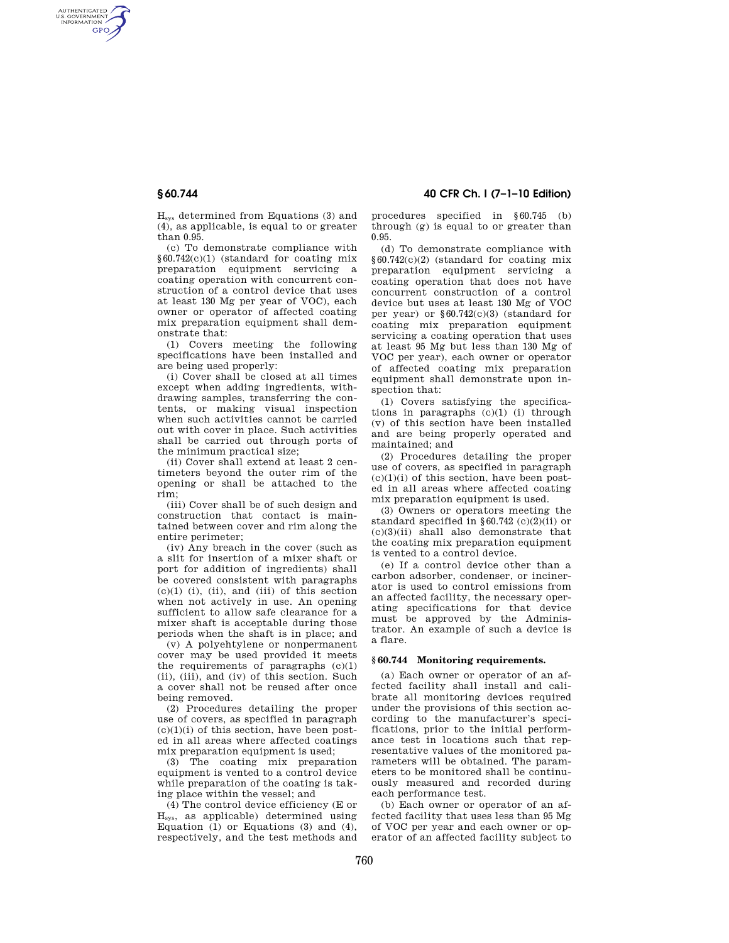AUTHENTICATED<br>U.S. GOVERNMENT<br>INFORMATION **GPO** 

> Hsys determined from Equations (3) and (4), as applicable, is equal to or greater than 0.95.

> (c) To demonstrate compliance with §60.742(c)(1) (standard for coating mix preparation equipment servicing a coating operation with concurrent construction of a control device that uses at least 130 Mg per year of VOC), each owner or operator of affected coating mix preparation equipment shall demonstrate that:

> (1) Covers meeting the following specifications have been installed and are being used properly:

> (i) Cover shall be closed at all times except when adding ingredients, withdrawing samples, transferring the contents, or making visual inspection when such activities cannot be carried out with cover in place. Such activities shall be carried out through ports of the minimum practical size;

> (ii) Cover shall extend at least 2 centimeters beyond the outer rim of the opening or shall be attached to the rim;

> (iii) Cover shall be of such design and construction that contact is maintained between cover and rim along the entire perimeter;

> (iv) Any breach in the cover (such as a slit for insertion of a mixer shaft or port for addition of ingredients) shall be covered consistent with paragraphs  $(c)(1)$  (i), (ii), and (iii) of this section when not actively in use. An opening sufficient to allow safe clearance for a mixer shaft is acceptable during those periods when the shaft is in place; and

> (v) A polyehtylene or nonpermanent cover may be used provided it meets the requirements of paragraphs  $(c)(1)$ (ii), (iii), and (iv) of this section. Such a cover shall not be reused after once being removed.

> (2) Procedures detailing the proper use of covers, as specified in paragraph  $(c)(1)(i)$  of this section, have been posted in all areas where affected coatings mix preparation equipment is used;

> (3) The coating mix preparation equipment is vented to a control device while preparation of the coating is taking place within the vessel; and

> (4) The control device efficiency (E or Hsys, as applicable) determined using Equation  $(1)$  or Equations  $(3)$  and  $(4)$ , respectively, and the test methods and

**§ 60.744 40 CFR Ch. I (7–1–10 Edition)** 

procedures specified in §60.745 (b) through (g) is equal to or greater than 0.95.

(d) To demonstrate compliance with §60.742(c)(2) (standard for coating mix preparation equipment servicing a coating operation that does not have concurrent construction of a control device but uses at least 130 Mg of VOC per year) or §60.742(c)(3) (standard for coating mix preparation equipment servicing a coating operation that uses at least 95 Mg but less than 130 Mg of VOC per year), each owner or operator of affected coating mix preparation equipment shall demonstrate upon inspection that:

(1) Covers satisfying the specifications in paragraphs (c)(1) (i) through (v) of this section have been installed and are being properly operated and maintained; and

(2) Procedures detailing the proper use of covers, as specified in paragraph  $(c)(1)(i)$  of this section, have been posted in all areas where affected coating mix preparation equipment is used.

(3) Owners or operators meeting the standard specified in  $§ 60.742$  (c)(2)(ii) or (c)(3)(ii) shall also demonstrate that the coating mix preparation equipment is vented to a control device.

(e) If a control device other than a carbon adsorber, condenser, or incinerator is used to control emissions from an affected facility, the necessary operating specifications for that device must be approved by the Administrator. An example of such a device is a flare.

## **§ 60.744 Monitoring requirements.**

(a) Each owner or operator of an affected facility shall install and calibrate all monitoring devices required under the provisions of this section according to the manufacturer's specifications, prior to the initial performance test in locations such that representative values of the monitored parameters will be obtained. The parameters to be monitored shall be continuously measured and recorded during each performance test.

(b) Each owner or operator of an affected facility that uses less than 95 Mg of VOC per year and each owner or operator of an affected facility subject to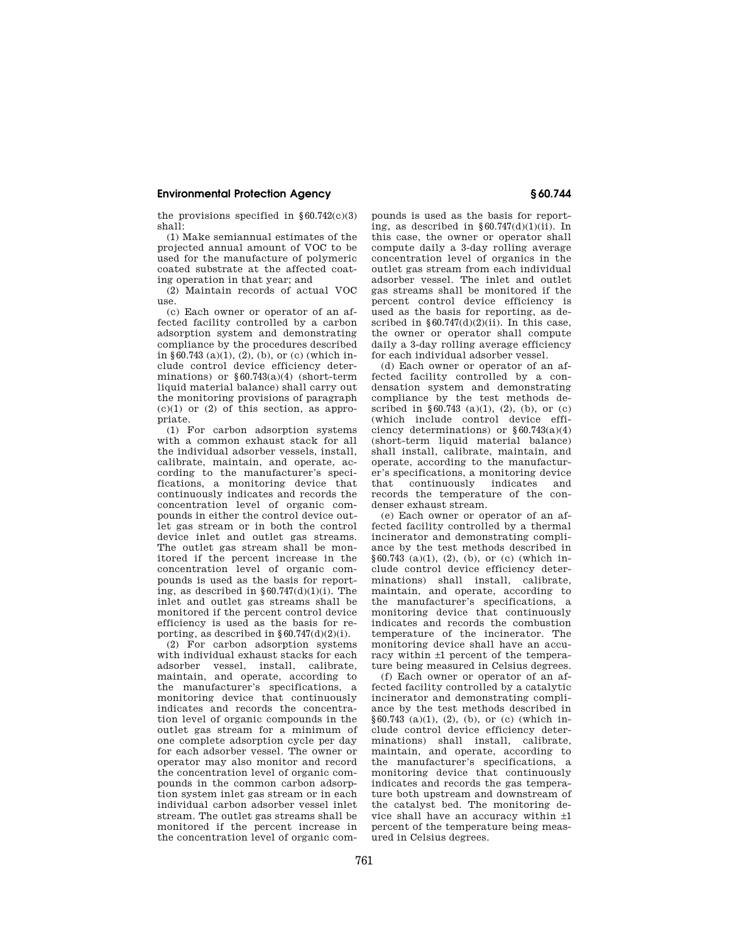# **Environmental Protection Agency § 60.744**

the provisions specified in  $§60.742(c)(3)$ shall:

(1) Make semiannual estimates of the projected annual amount of VOC to be used for the manufacture of polymeric coated substrate at the affected coating operation in that year; and

(2) Maintain records of actual VOC use.

(c) Each owner or operator of an affected facility controlled by a carbon adsorption system and demonstrating compliance by the procedures described in §60.743 (a)(1), (2), (b), or (c) (which include control device efficiency determinations) or §60.743(a)(4) (short-term liquid material balance) shall carry out the monitoring provisions of paragraph  $(c)(1)$  or  $(2)$  of this section, as appropriate.

(1) For carbon adsorption systems with a common exhaust stack for all the individual adsorber vessels, install, calibrate, maintain, and operate, according to the manufacturer's specifications, a monitoring device that continuously indicates and records the concentration level of organic compounds in either the control device outlet gas stream or in both the control device inlet and outlet gas streams. The outlet gas stream shall be monitored if the percent increase in the concentration level of organic compounds is used as the basis for reporting, as described in  $§ 60.747(d)(1)(i)$ . The inlet and outlet gas streams shall be monitored if the percent control device efficiency is used as the basis for reporting, as described in  $\S 60.747(d)(2)(i)$ .

(2) For carbon adsorption systems with individual exhaust stacks for each adsorber vessel, install, calibrate, maintain, and operate, according to the manufacturer's specifications, a monitoring device that continuously indicates and records the concentration level of organic compounds in the outlet gas stream for a minimum of one complete adsorption cycle per day for each adsorber vessel. The owner or operator may also monitor and record the concentration level of organic compounds in the common carbon adsorption system inlet gas stream or in each individual carbon adsorber vessel inlet stream. The outlet gas streams shall be monitored if the percent increase in the concentration level of organic compounds is used as the basis for reporting, as described in  $§60.747(d)(1)(ii)$ . In this case, the owner or operator shall compute daily a 3-day rolling average concentration level of organics in the outlet gas stream from each individual adsorber vessel. The inlet and outlet gas streams shall be monitored if the percent control device efficiency is used as the basis for reporting, as described in  $§60.747(d)(2)(ii)$ . In this case, the owner or operator shall compute daily a 3-day rolling average efficiency for each individual adsorber vessel.

(d) Each owner or operator of an affected facility controlled by a condensation system and demonstrating compliance by the test methods described in §60.743 (a)(1), (2), (b), or (c) (which include control device efficiency determinations) or §60.743(a)(4) (short-term liquid material balance) shall install, calibrate, maintain, and operate, according to the manufacturer's specifications, a monitoring device<br>that continuously indicates and continuously indicates and records the temperature of the condenser exhaust stream.

(e) Each owner or operator of an affected facility controlled by a thermal incinerator and demonstrating compliance by the test methods described in §60.743 (a)(1), (2), (b), or (c) (which include control device efficiency determinations) shall install, calibrate, maintain, and operate, according to the manufacturer's specifications, a monitoring device that continuously indicates and records the combustion temperature of the incinerator. The monitoring device shall have an accuracy within ±1 percent of the temperature being measured in Celsius degrees.

(f) Each owner or operator of an affected facility controlled by a catalytic incinerator and demonstrating compliance by the test methods described in  $§60.743$  (a)(1), (2), (b), or (c) (which include control device efficiency determinations) shall install, calibrate, maintain, and operate, according to the manufacturer's specifications, a monitoring device that continuously indicates and records the gas temperature both upstream and downstream of the catalyst bed. The monitoring device shall have an accuracy within ±1 percent of the temperature being measured in Celsius degrees.